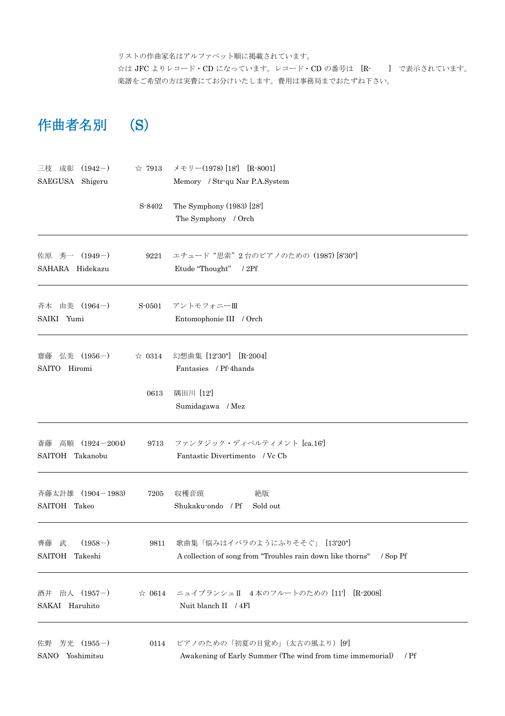リストの作曲家名はアルファベット順に掲載されています。

☆は JFC よりレコード・CD になっています。レコード・CD の番号は [R- ] で表示されています。 楽譜をご希望の方は実費にてお分けいたします。費用は事務局までおたずね下さい。

## 作曲者名別 (S)

| 三枝 成彰<br>$(1942-)$          | $\approx 7913$ | メモリー(1978) [18] [R-8001]                                                 |
|-----------------------------|----------------|--------------------------------------------------------------------------|
| SAEGUSA Shigeru             |                | Memory / Str-qu Nar P.A.System                                           |
|                             | S-8402         | The Symphony $(1983)$ $[28]$                                             |
|                             |                | The Symphony / Orch                                                      |
| 佐原 秀一 (1949-)               | 9221           | エチュード "思索"2台のピアノのための (1987) [8'30"]                                      |
| SAHARA Hidekazu             |                | Etude "Thought" / 2Pf                                                    |
| 斉木 由美 (1964-)               | S-0501         | アントモフォニーⅢ                                                                |
| SAIKI Yumi                  |                | Entomophonie III / Orch                                                  |
| 弘美 (1956-)<br>齋藤            | $\approx 0314$ | 幻想曲集 [12'30"] [R-2004]                                                   |
| SAITO Hiromi                |                | Fantasies / Pf-4hands                                                    |
|                             | 0613           | 隅田川 [12]                                                                 |
|                             |                | Sumidagawa / Mez                                                         |
| 高順<br>$(1924 - 2004)$<br>斎藤 | 9713           | ファンタジック・ディベルティメント [ca.16]                                                |
| SAITOH Takanobu             |                | Fantastic Divertimento / Vc Cb                                           |
| 斉藤太計雄<br>$(1904 - 1983)$    | 7205           | 収穫音頭<br>絶版                                                               |
| SAITOH Takeo                |                | Shukaku-ondo / Pf<br>Sold out                                            |
| $(1958-)$<br>武<br>齊藤        | 9811           | 歌曲集「悩みはイバラのようにふりそそぐ」 [13'20"]                                            |
| <b>SAITOH</b><br>Takeshi    |                | A collection of song from "Troubles rain down like thorns"<br>$/$ Sop Pf |
| 治人 (1957-)<br>酒井            | $\approx 0614$ | ニュイブランシュⅡ 4本のフルートのための [11'] [R-2008]                                     |
| SAKAI Haruhito              |                | Nuit blanch II / 4Fl                                                     |
| 芳光<br>$(1955-)$<br>佐野       | 0114           | ピアノのための「初夏の目覚め」(太古の風より) [9]                                              |
| Yoshimitsu<br>SANO          |                | Awakening of Early Summer (The wind from time immemorial)<br>$/$ Pf      |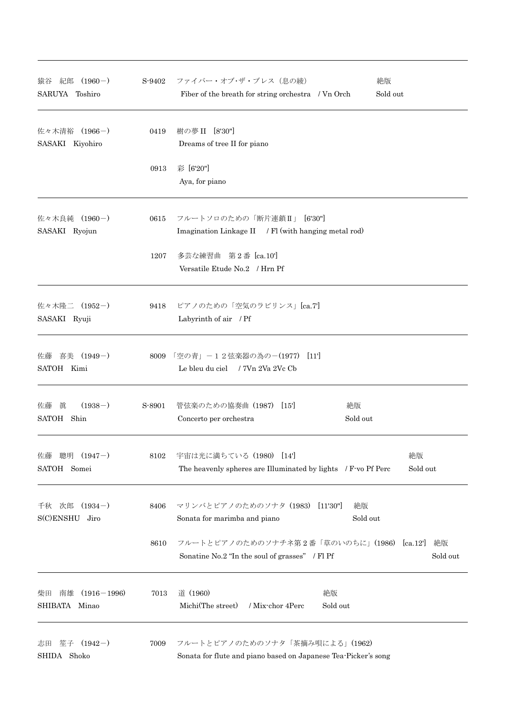| 紀郎 (1960-)<br>猿谷<br>SARUYA Toshiro            | S-9402 | ファイバー・オブ・ザ・ブレス (息の綾)<br>絶版<br>Sold out<br>Fiber of the breath for string orchestra / Vn Orch                     |  |  |
|-----------------------------------------------|--------|------------------------------------------------------------------------------------------------------------------|--|--|
| 佐々木清裕 (1966-)<br>SASAKI Kiyohiro              | 0419   | 樹の夢 II [8'30"]<br>Dreams of tree II for piano                                                                    |  |  |
|                                               | 0913   | 彩 [6'20"]<br>Aya, for piano                                                                                      |  |  |
| 佐々木良純 (1960-)<br>SASAKI Ryojun                | 0615   | フルートソロのための「断片連鎖II」 [6'30"]<br>Imagination Linkage II / Fl (with hanging metal rod)                               |  |  |
|                                               | 1207   | 多芸な練習曲 第2番 [ca.10']<br>Versatile Etude No.2 / Hrn Pf                                                             |  |  |
| 佐々木隆二 (1952-)<br>SASAKI Ryuji                 | 9418   | ピアノのための「空気のラビリンス」[ca.7]<br>Labyrinth of air / Pf                                                                 |  |  |
| 喜美 (1949-)<br>佐藤<br>SATOH Kimi                |        | 8009 「空の青」-12弦楽器の為の-(1977) [11]<br>Le bleu du ciel / 7Vn 2Va 2Vc Cb                                              |  |  |
| 眞<br>$(1938-)$<br>佐藤<br>SATOH Shin            | S-8901 | 管弦楽のための協奏曲 (1987)<br>絶版<br>$\lfloor 15 \rfloor$<br>Sold out<br>Concerto per orchestra                            |  |  |
| 聰明<br>$(1947-)$<br>佐藤<br>SATOH Somei          | 8102   | 絶版<br>宇宙は光に満ちている (1980) [14]<br>The heavenly spheres are Illuminated by lights / F-vo Pf Perc<br>Sold out        |  |  |
| $(1934-)$<br>次郎<br>千秋<br>$S(C)$ ENSHU<br>Jiro | 8406   | マリンバとピアノのためのソナタ (1983)<br>絶版<br>[11'30"]<br>Sonata for marimba and piano<br>Sold out                             |  |  |
|                                               | 8610   | フルートとピアノのためのソナチネ第2番「草のいのちに」(1986)<br>[ca.12]<br>絶版<br>Sonatine No.2 "In the soul of grasses" / Fl Pf<br>Sold out |  |  |
| 南雄<br>$(1916 - 1996)$<br>柴田<br>SHIBATA Minao  | 7013   | 道 (1960)<br>絶版<br>Michi(The street)<br>/ Mix-chor 4Perc<br>Sold out                                              |  |  |
| 笙子<br>$(1942-)$<br>志田<br>SHIDA Shoko          | 7009   | フルートとピアノのためのソナタ「茶摘み唄による」(1962)<br>Sonata for flute and piano based on Japanese Tea-Picker's song                 |  |  |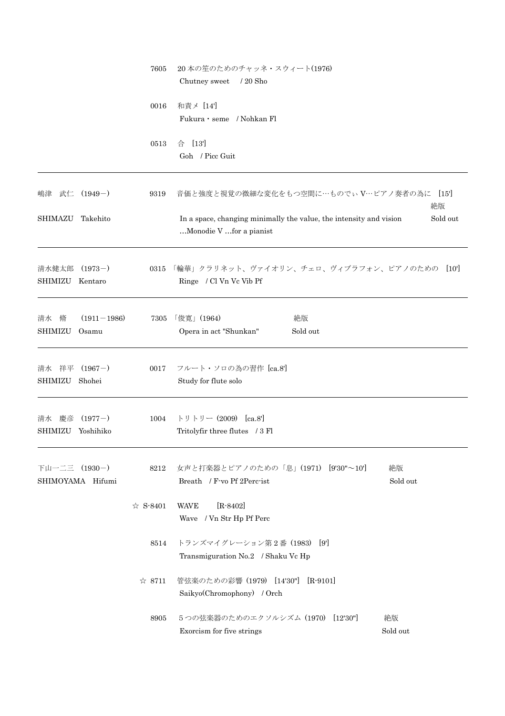|                         |                          | 7605             | 20本の笙のためのチャッネ・スウィート(1976)<br>$/20$ Sho<br>Chutney sweet                                                   |                |  |  |
|-------------------------|--------------------------|------------------|-----------------------------------------------------------------------------------------------------------|----------------|--|--|
|                         |                          | 0016             | 和責メ [14]<br>Fukura · seme / Nohkan Fl                                                                     |                |  |  |
|                         |                          | 0513             | 合 [13']<br>Goh / Picc Guit                                                                                |                |  |  |
| 嶋津                      | 武仁 (1949-)               | 9319             | 音価と強度と視覚の微細な変化をもつ空間に…ものでぃV…ピアノ奏者の為に                                                                       | [15]<br>絶版     |  |  |
| <b>SHIMAZU</b>          | Takehito                 |                  | Sold out<br>In a space, changing minimally the value, the intensity and vision<br>Monodie V for a pianist |                |  |  |
| 清水健太郎<br><b>SHIMIZU</b> | $(1973-)$<br>Kentaro     | 0315             | 「輪華」クラリネット、ヴァイオリン、チェロ、ヴィブラフォン、ピアノのための<br>Ringe / Cl Vn Vc Vib Pf                                          | [10]           |  |  |
| 清水 脩<br><b>SHIMIZU</b>  | $(1911 - 1986)$<br>Osamu | 7305             | 「俊寛」(1964)<br>絶版<br>Opera in act "Shunkan"<br>Sold out                                                    |                |  |  |
| 清水<br>祥平<br>SHIMIZU     | $(1967-)$<br>Shohei      | 0017             | フルート・ソロの為の習作 [ca.8']<br>Study for flute solo                                                              |                |  |  |
| 清水 慶彦<br>SHIMIZU        | $(1977-)$<br>Yoshihiko   | 1004             | トリトリー (2009) [ca.8']<br>Tritolyfir three flutes / 3 Fl                                                    |                |  |  |
| 下山一二三 (1930-)           | SHIMOYAMA Hifumi         | 8212             | 女声と打楽器とピアノのための「息」(1971) [9'30"~10']<br>Breath / F-vo Pf 2Perc-ist                                         | 絶版<br>Sold out |  |  |
|                         |                          | $\approx$ S-8401 | $[R - 8402]$<br><b>WAVE</b><br>Wave / Vn Str Hp Pf Perc                                                   |                |  |  |
|                         |                          | 8514             | トランズマイグレーション第2番 (1983) [9]<br>Transmiguration No.2 / Shaku Vc Hp                                          |                |  |  |
|                         |                          | $\approx 8711$   | 管弦楽のための彩響 (1979) [14'30"]<br>$[R-9101]$<br>Saikyo(Chromophony) / Orch                                     |                |  |  |
|                         |                          | 8905             | 5つの弦楽器のためのエクソルシズム (1970) [12'30"]<br>Exorcism for five strings                                            | 絶版<br>Sold out |  |  |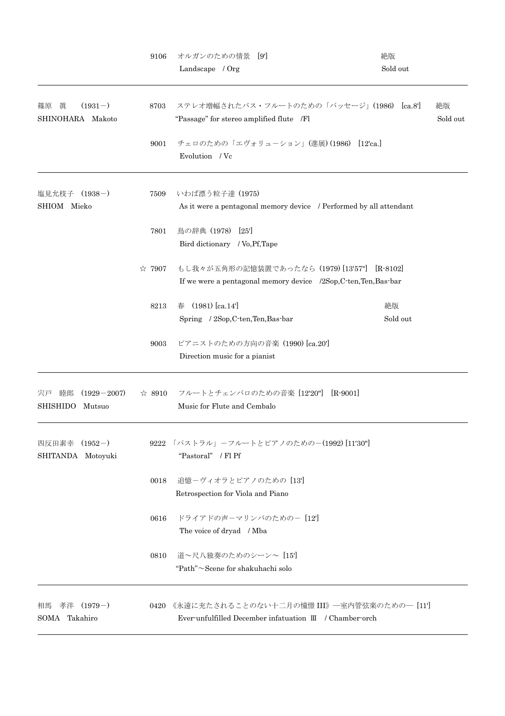|                                                          | 9106   | オルガンのための情景 [9]<br>Landscape / Org                                                                             | 絶版<br>Sold out |
|----------------------------------------------------------|--------|---------------------------------------------------------------------------------------------------------------|----------------|
| 眞<br>$(1931-)$<br>篠原<br>SHINOHARA Makoto                 | 8703   | ステレオ増幅されたバス・フルートのための「パッセージ」(1986) [ca.8']<br>"Passage" for stereo amplified flute /Fl                         | 絶版<br>Sold out |
|                                                          | 9001   | チェロのための「エヴォリューション」(進展)(1986) [12'ca.]<br>Evolution / Vc                                                       |                |
| 塩見允枝子 (1938-)<br>SHIOM Mieko                             | 7509   | いわば漂う粒子達 (1975)<br>As it were a pentagonal memory device / Performed by all attendant                         |                |
|                                                          | 7801   | 鳥の辞典(1978)<br>[25]<br>Bird dictionary / Vo, Pf, Tape                                                          |                |
|                                                          | ☆ 7907 | もし我々が五角形の記憶装置であったなら (1979) [13'57"] [R-8102]<br>If we were a pentagonal memory device /2Sop,C-ten,Ten,Bas-bar |                |
|                                                          | 8213   | $(1981)$ [ca.14]<br>春<br>Spring / 2Sop, C-ten, Ten, Bas-bar                                                   | 絶版<br>Sold out |
|                                                          | 9003   | ピアニストのための方向の音楽 (1990) [ca.20']<br>Direction music for a pianist                                               |                |
| $(1929 - 2007)$<br>宍戸<br>睦郎<br><b>SHISHIDO</b><br>Mutsuo |        | ☆ 8910 フルートとチェンバロのための音楽 [12'20"] [R-9001]<br>Music for Flute and Cembalo                                      |                |
| 四反田素幸<br>$(1952-)$<br>SHITANDA Motoyuki                  |        | 9222 「パストラル」-フルートとピアノのための-(1992) [11'30"]<br>"Pastoral" / Fl Pf                                               |                |
|                                                          | 0018   | 追憶ーヴィオラとピアノのための [13']<br>Retrospection for Viola and Piano                                                    |                |
|                                                          | 0616   | ドライアドの声ーマリンバのためのー[12]<br>The voice of dryad / Mba                                                             |                |
|                                                          | 0810   | 道~尺八独奏のためのシーン~ [15]<br>"Path"~Scene for shakuhachi solo                                                       |                |
| 孝洋<br>$(1979-)$<br>相馬<br>SOMA Takahiro                   | 0420   | 《永遠に充たされることのない十二月の憧憬 III》―室内管弦楽のための― [11']<br>Ever-unfulfilled December infatuation III / Chamber-orch        |                |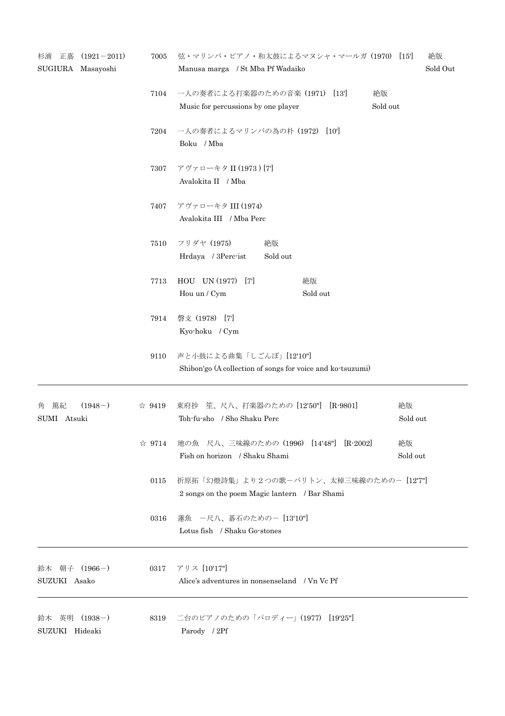| 杉浦<br>正嘉<br>SUGIURA Masayoshi       | $(1921 - 2011)$ | 7005           | 弦・マリンバ・ピアノ・和太鼓によるマヌシャ・マールガ(1970) [15']<br>絶版<br>Sold Out<br>Manusa marga / St Mba Pf Wadaiko |          |  |
|-------------------------------------|-----------------|----------------|----------------------------------------------------------------------------------------------|----------|--|
|                                     |                 | 7104           | 一人の奏者による打楽器のための音楽 (1971) [13]<br>絶版<br>Sold out<br>Music for percussions by one player       |          |  |
|                                     |                 | 7204           | 一人の奏者によるマリンバの為の朴 (1972) [10]<br>Boku / Mba                                                   |          |  |
|                                     |                 | 7307           | アヴァローキタ II (1973) [7]<br>Avalokita II / Mba                                                  |          |  |
|                                     |                 | 7407           | アヴァローキタ III (1974)<br>Avalokita III / Mba Perc                                               |          |  |
|                                     |                 | 7510           | フリダヤ (1975)<br>絶版<br>Hrdaya / 3Perc-ist<br>Sold out                                          |          |  |
|                                     |                 | 7713           | HOU UN (1977) [7]<br>絶版<br>Hou un / Cym<br>Sold out                                          |          |  |
|                                     |                 | 7914           | 磬攴 (1978) [7]<br>Kyo-hoku / Cym                                                              |          |  |
|                                     |                 | 9110           | 声と小鼓による曲集「しごんぼ」[12'10"]<br>Shibon'go (A collection of songs for voice and ko-tsuzumi)        |          |  |
| 篤紀<br>$(1948-)$<br>角<br>SUMI Atsuki |                 | $\approx 9419$ | 東府抄 笙、尺八、打楽器のための [12'50"] [R-9801]<br>絶版<br>Toh-fu-sho / Sho Shaku Perc                      | Sold out |  |
|                                     |                 | $\approx 9714$ | 地の魚 尺八、三味線のための (1996) [14'48"] [R-2002]<br>絶版<br>Fish on horizon / Shaku Shami               | Sold out |  |
|                                     |                 | 0115           | 折原拓「幻燈詩集」より2つの歌ーバリトン、太棹三味線のための- [12'7"]<br>2 songs on the poem Magic lantern / Bar Shami     |          |  |
|                                     |                 | 0316           | 蓮魚 一尺八、碁石のためのー [13'10"]<br>Lotus fish / Shaku Go-stones                                      |          |  |
| 鈴木 朝子<br>SUZUKI Asako               | $(1966-)$       | 0317           | アリス [10'17"]<br>Alice's adventures in nonsenseland / Vn Vc Pf                                |          |  |
| 鈴木 英明<br>SUZUKI Hideaki             | $(1938-)$       | 8319           | 二台のピアノのための「パロディー」(1977) [19'25"]<br>Parody / 2Pf                                             |          |  |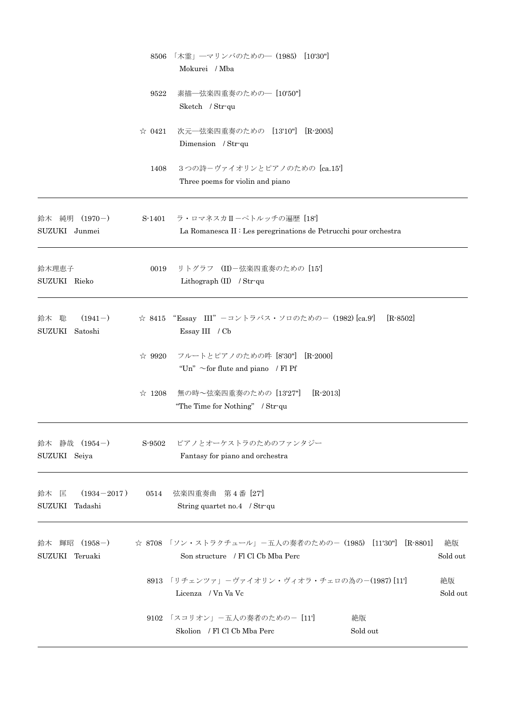|                                                | 8506           | 「木霊」―マリンバのための―(1985) [10'30'']<br>Mokurei / Mba                                                      |                |
|------------------------------------------------|----------------|------------------------------------------------------------------------------------------------------|----------------|
|                                                | 9522           | 素描一弦楽四重奏のためのー[10'50"]<br>Sketch / Str-qu                                                             |                |
|                                                | $\approx 0421$ | 次元–弦楽四重奏のための [13'10"] [R-2005]<br>Dimension / Str-qu                                                 |                |
|                                                | 1408           | 3つの詩ーヴァイオリンとピアノのための [ca.15']<br>Three poems for violin and piano                                     |                |
| 鈴木 純明 (1970-)<br>SUZUKI Junmei                 | S-1401         | ラ・ロマネスカⅡーペトルッチの遍歴 [18']<br>La Romanesca II : Les peregrinations de Petrucchi pour orchestra          |                |
| 鈴木理恵子<br>SUZUKI Rieko                          | 0019           | リトグラフ (II)ー弦楽四重奏のための [15']<br>Lithograph $(II)$ / Str-qu                                             |                |
| $(1941-)$<br>鈴木 聡<br><b>SUZUKI</b><br>Satoshi  |                | ☆ 8415 "Essay III" -コントラバス・ソロのための- (1982) [ca.9']<br>$[R-8502]$<br>Essay III / Cb                    |                |
|                                                | $\approx 9920$ | フルートとピアノのための吽 [8'30"]<br>$[R-2000]$<br>"Un" $\sim$ for flute and piano / Fl Pf                       |                |
|                                                | $\approx$ 1208 | 無の時~弦楽四重奏のための [13'27"]<br>$[R-2013]$<br>"The Time for Nothing" / Str-qu                              |                |
| 鈴木 静哉 (1954-)<br>SUZUKI Seiya                  |                | S-9502 ピアノとオーケストラのためのファンタジー<br>Fantasy for piano and orchestra                                       |                |
| $(1934 - 2017)$ 0514<br>鈴木 匡<br>SUZUKI Tadashi |                | 弦楽四重奏曲 第4番 [27]<br>String quartet no.4 / Str-qu                                                      |                |
| 鈴木 輝昭 (1958-)<br>SUZUKI Teruaki                |                | ☆ 8708 「ソン・ストラクチュール」-五人の奏者のための-(1985) [11'30'']<br>$[R - 8801]$<br>Son structure / Fl Cl Cb Mba Perc | 絶版<br>Sold out |
|                                                |                | 8913 「リチェンツァ」-ヴァイオリン・ヴィオラ・チェロの為の-(1987) [11]<br>Licenza / Vn Va Vc                                   | 絶版<br>Sold out |
|                                                |                | 9102 「スコリオン」-五人の奏者のための- [11]<br>絶版<br>Skolion / Fl Cl Cb Mba Perc<br>Sold out                        |                |